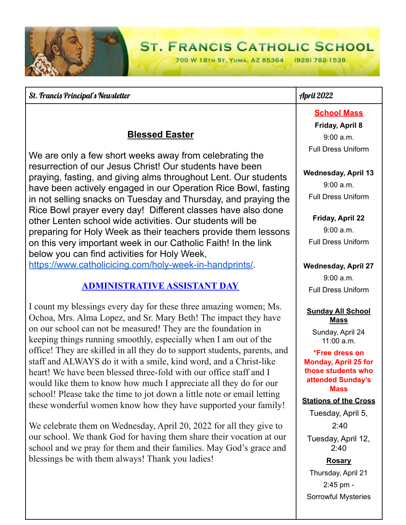**ST. FRANCIS CATHOLIC SCHOOL** 

700 W 18TH ST, YUMA, AZ 85364  $(928)$  782-1539

#### St. Francis Principal's Newsletter April 2022

### **Blessed Easter**

We are only a few short weeks away from celebrating the resurrection of our Jesus Christ! Our students have been praying, fasting, and giving alms throughout Lent. Our students have been actively engaged in our Operation Rice Bowl, fasting in not selling snacks on Tuesday and Thursday, and praying the Rice Bowl prayer every day! Different classes have also done other Lenten school wide activities. Our students will be preparing for Holy Week as their teachers provide them lessons on this very important week in our Catholic Faith! In the link below you can find activities for Holy Week, [https://www.catholicicing.com/holy-week-in-handprints/.](https://www.catholicicing.com/holy-week-in-handprints/)

### **ADMINISTRATIVE ASSISTANT DAY**

I count my blessings every day for these three amazing women; Ms. Ochoa, Mrs. Alma Lopez, and Sr. Mary Beth! The impact they have on our school can not be measured! They are the foundation in keeping things running smoothly, especially when I am out of the office! They are skilled in all they do to support students, parents, and staff and ALWAYS do it with a smile, kind word, and a Christ-like heart! We have been blessed three-fold with our office staff and I would like them to know how much I appreciate all they do for our school! Please take the time to jot down a little note or email letting these wonderful women know how they have supported your family!

We celebrate them on Wednesday, April 20, 2022 for all they give to our school. We thank God for having them share their vocation at our school and we pray for them and their families. May God's grace and blessings be with them always! Thank you ladies!

#### **School Mass**

**Friday, April 8** 9:00 a.m. Full Dress Uniform

**Wednesday, April 13** 9:00 a.m.

Full Dress Uniform

**Friday, April 22** 9:00 a.m. Full Dress Uniform

#### **Wednesday, April 27**

9:00 a.m. Full Dress Uniform

#### **Sunday All School Mass**

Sunday, April 24 11:00 a.m.

**\*Free dress on Monday, April 25 for those students who attended Sunday's Mass**

**Stations of the Cross**

Tuesday, April 5,  $2.40$ Tuesday, April 12,

 $2.40$ 

**Rosary** Thursday, April 21 2:45 pm - Sorrowful Mysteries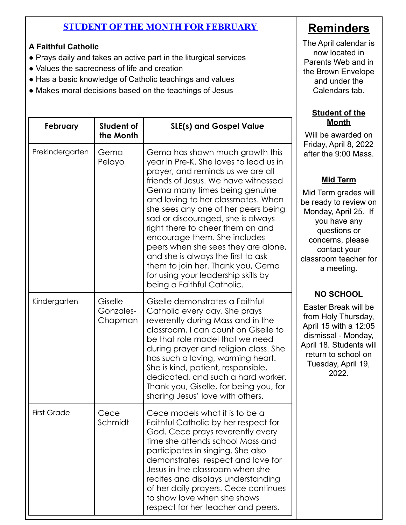### **STUDENT OF THE MONTH FOR FEBRUARY**

#### **A Faithful Catholic**

- Prays daily and takes an active part in the liturgical services
- Values the sacredness of life and creation
- Has a basic knowledge of Catholic teachings and values
- Makes moral decisions based on the teachings of Jesus

|                    |                                 |                                                                                                                                                                                                                                                                                                                                                                                                                                                                                                                                                                     | <u></u>                                                                                                              |
|--------------------|---------------------------------|---------------------------------------------------------------------------------------------------------------------------------------------------------------------------------------------------------------------------------------------------------------------------------------------------------------------------------------------------------------------------------------------------------------------------------------------------------------------------------------------------------------------------------------------------------------------|----------------------------------------------------------------------------------------------------------------------|
| February           | <b>Student of</b><br>the Month  | <b>SLE(s) and Gospel Value</b>                                                                                                                                                                                                                                                                                                                                                                                                                                                                                                                                      | В<br>Will be                                                                                                         |
| Prekindergarten    | Gema<br>Pelayo                  | Gema has shown much growth this<br>year in Pre-K. She loves to lead us in<br>prayer, and reminds us we are all<br>friends of Jesus. We have witnessed<br>Gema many times being genuine<br>and loving to her classmates. When<br>she sees any one of her peers being<br>sad or discouraged, she is always<br>right there to cheer them on and<br>encourage them. She includes<br>peers when she sees they are alone,<br>and she is always the first to ask<br>them to join her. Thank you, Gema<br>for using your leadership skills by<br>being a Faithful Catholic. | Friday,<br>after the<br><u>Mi</u><br>Mid Teri<br>be ready<br>Monday<br>you<br>que<br>conce<br>con<br>classroo<br>a r |
| Kindergarten       | Giselle<br>Gonzales-<br>Chapman | Giselle demonstrates a Faithful<br>Catholic every day. She prays<br>reverently during Mass and in the<br>classroom. I can count on Giselle to<br>be that role model that we need<br>during prayer and religion class. She<br>has such a loving, warming heart.<br>She is kind, patient, responsible,<br>dedicated, and such a hard worker.<br>Thank you, Giselle, for being you, for<br>sharing Jesus' love with others.                                                                                                                                            | NO:<br>Easter<br>from Ho<br>April 15<br>dismiss<br>April 18.<br>return t<br>Tuesd                                    |
| <b>First Grade</b> | cece<br>Schmidt                 | Cece models what it is to be a<br>Faithful Catholic by her respect for<br>God. Cece prays reverently every<br>time she attends school Mass and<br>participates in singing. She also<br>demonstrates respect and love for<br>Jesus in the classroom when she<br>recites and displays understanding<br>of her daily prayers. Cece continues<br>to show love when she shows<br>respect for her teacher and peers.                                                                                                                                                      |                                                                                                                      |

# **Reminders**

The April calendar is now located in Parents Web and in the Brown Envelope and under the Calendars tab.

#### **Student of the Month**

awarded on April 8, 2022  $e$  9:00 Mass.

#### **Mid Term**

m grades will v to review on  $v$ , April 25. If have any stions or ms, please tact your m teacher for neeting.

## **SCHOOL**

Break will be bly Thursday, with a  $12:05$ al - Monday, Students will to school on ay, April 19, 2022.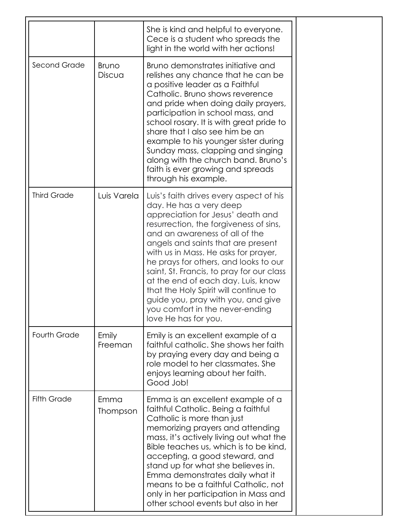|                     |                        | She is kind and helpful to everyone.<br>Cece is a student who spreads the<br>light in the world with her actions!                                                                                                                                                                                                                                                                                                                                                                                                                       |
|---------------------|------------------------|-----------------------------------------------------------------------------------------------------------------------------------------------------------------------------------------------------------------------------------------------------------------------------------------------------------------------------------------------------------------------------------------------------------------------------------------------------------------------------------------------------------------------------------------|
| <b>Second Grade</b> | <b>Bruno</b><br>Discua | Bruno demonstrates initiative and<br>relishes any chance that he can be<br>a positive leader as a Faithful<br>Catholic. Bruno shows reverence<br>and pride when doing daily prayers,<br>participation in school mass, and<br>school rosary. It is with great pride to<br>share that I also see him be an<br>example to his younger sister during<br>Sunday mass, clapping and singing<br>along with the church band. Bruno's<br>faith is ever growing and spreads<br>through his example.                                               |
| <b>Third Grade</b>  | Luis Varela            | Luis's faith drives every aspect of his<br>day. He has a very deep<br>appreciation for Jesus' death and<br>resurrection, the forgiveness of sins,<br>and an awareness of all of the<br>angels and saints that are present<br>with us in Mass. He asks for prayer,<br>he prays for others, and looks to our<br>saint, St. Francis, to pray for our class<br>at the end of each day. Luis, know<br>that the Holy Spirit will continue to<br>guide you, pray with you, and give<br>you comfort in the never-ending<br>love He has for you. |
| Fourth Grade        | Emily<br>Freeman       | Emily is an excellent example of a<br>faithful catholic. She shows her faith<br>by praying every day and being a<br>role model to her classmates. She<br>enjoys learning about her faith.<br>Good Job!                                                                                                                                                                                                                                                                                                                                  |
| <b>Fifth Grade</b>  | Emma<br>Thompson       | Emma is an excellent example of a<br>faithful Catholic. Being a faithful<br>Catholic is more than just<br>memorizing prayers and attending<br>mass, it's actively living out what the<br>Bible teaches us, which is to be kind,<br>accepting, a good steward, and<br>stand up for what she believes in.<br>Emma demonstrates daily what it<br>means to be a faithful Catholic, not<br>only in her participation in Mass and<br>other school events but also in her                                                                      |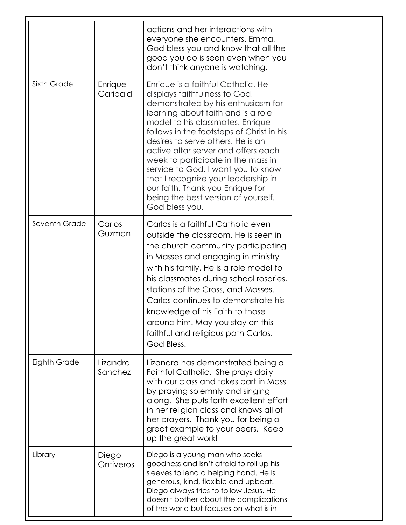|               |                      | actions and her interactions with<br>everyone she encounters. Emma,<br>God bless you and know that all the<br>good you do is seen even when you<br>don't think anyone is watching.                                                                                                                                                                                                                                                                                                                                           |
|---------------|----------------------|------------------------------------------------------------------------------------------------------------------------------------------------------------------------------------------------------------------------------------------------------------------------------------------------------------------------------------------------------------------------------------------------------------------------------------------------------------------------------------------------------------------------------|
| Sixth Grade   | Enrique<br>Garibaldi | Enrique is a faithful Catholic. He<br>displays faithfulness to God,<br>demonstrated by his enthusiasm for<br>learning about faith and is a role<br>model to his classmates. Enrique<br>follows in the footsteps of Christ in his<br>desires to serve others. He is an<br>active altar server and offers each<br>week to participate in the mass in<br>service to God. I want you to know<br>that I recognize your leadership in<br>our faith. Thank you Enrique for<br>being the best version of yourself.<br>God bless you. |
| Seventh Grade | Carlos<br>Guzman     | Carlos is a faithful Catholic even<br>outside the classroom. He is seen in<br>the church community participating<br>in Masses and engaging in ministry<br>with his family. He is a role model to<br>his classmates during school rosaries,<br>stations of the Cross, and Masses.<br>Carlos continues to demonstrate his<br>knowledge of his Faith to those<br>around him. May you stay on this<br>faithful and religious path Carlos.<br>God Bless!                                                                          |
| Eighth Grade  | Lizandra<br>Sanchez  | Lizandra has demonstrated being a<br>Faithful Catholic. She prays daily<br>with our class and takes part in Mass<br>by praying solemnly and singing<br>along. She puts forth excellent effort<br>in her religion class and knows all of<br>her prayers. Thank you for being a<br>great example to your peers. Keep<br>up the great work!                                                                                                                                                                                     |
| Library       | Diego<br>Ontiveros   | Diego is a young man who seeks<br>goodness and isn't afraid to roll up his<br>sleeves to lend a helping hand. He is<br>generous, kind, flexible and upbeat.<br>Diego always tries to follow Jesus. He<br>doesn't bother about the complications<br>of the world but focuses on what is in                                                                                                                                                                                                                                    |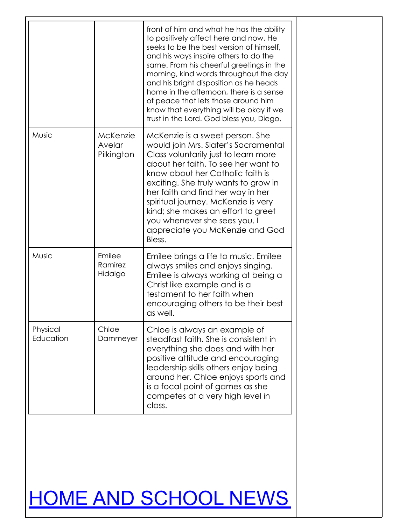|                       |                                  | front of him and what he has the ability<br>to positively affect here and now. He<br>seeks to be the best version of himself,<br>and his ways inspire others to do the<br>same. From his cheerful greetings in the<br>morning, kind words throughout the day<br>and his bright disposition as he heads<br>home in the afternoon, there is a sense<br>of peace that lets those around him<br>know that everything will be okay if we<br>trust in the Lord. God bless you, Diego. |
|-----------------------|----------------------------------|---------------------------------------------------------------------------------------------------------------------------------------------------------------------------------------------------------------------------------------------------------------------------------------------------------------------------------------------------------------------------------------------------------------------------------------------------------------------------------|
| Music                 | McKenzie<br>Avelar<br>Pilkington | McKenzie is a sweet person. She<br>would join Mrs. Slater's Sacramental<br>Class voluntarily just to learn more<br>about her faith. To see her want to<br>know about her Catholic faith is<br>exciting. She truly wants to grow in<br>her faith and find her way in her<br>spiritual journey. McKenzie is very<br>kind; she makes an effort to greet<br>you whenever she sees you. I<br>appreciate you McKenzie and God<br>Bless.                                               |
| Music                 | Emilee<br>Ramirez<br>Hidalgo     | Emilee brings a life to music. Emilee<br>always smiles and enjoys singing.<br>Emilee is always working at being a<br>Christ like example and is a<br>testament to her faith when<br>encouraging others to be their best<br>as well.                                                                                                                                                                                                                                             |
| Physical<br>Education | Chloe<br>Dammeyer                | Chloe is always an example of<br>steadfast faith. She is consistent in<br>everything she does and with her<br>positive attitude and encouraging<br>leadership skills others enjoy being<br>around her. Chloe enjoys sports and<br>is a focal point of games as she<br>competes at a very high level in<br>class.                                                                                                                                                                |

# HOME AND SCHOOL NEWS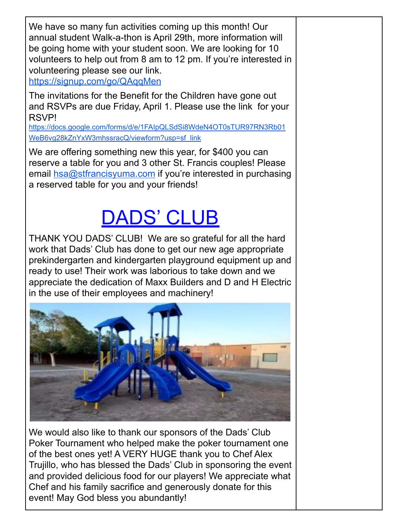We have so many fun activities coming up this month! Our annual student Walk-a-thon is April 29th, more information will be going home with your student soon. We are looking for 10 volunteers to help out from 8 am to 12 pm. If you're interested in volunteering please see our link.

<https://signup.com/go/QAqqMen>

The invitations for the Benefit for the Children have gone out and RSVPs are due Friday, April 1. Please use the link for your RSVP!

[https://docs.google.com/forms/d/e/1FAIpQLSdSi8WdeN4OT0sTUR97RN3Rb01](https://docs.google.com/forms/d/e/1FAIpQLSdSi8WdeN4OT0sTUR97RN3Rb01WeB6vg28kZnYxW3mhssracQ/viewform?usp=sf_link) [WeB6vg28kZnYxW3mhssracQ/viewform?usp=sf\\_link](https://docs.google.com/forms/d/e/1FAIpQLSdSi8WdeN4OT0sTUR97RN3Rb01WeB6vg28kZnYxW3mhssracQ/viewform?usp=sf_link)

We are offering something new this year, for \$400 you can reserve a table for you and 3 other St. Francis couples! Please email [hsa@stfrancisyuma.com](mailto:hsa@stfrancisyuma.com) if you're interested in purchasing a reserved table for you and your friends!

# DADS' CLUB

THANK YOU DADS' CLUB! We are so grateful for all the hard work that Dads' Club has done to get our new age appropriate prekindergarten and kindergarten playground equipment up and ready to use! Their work was laborious to take down and we appreciate the dedication of Maxx Builders and D and H Electric in the use of their employees and machinery!



We would also like to thank our sponsors of the Dads' Club Poker Tournament who helped make the poker tournament one of the best ones yet! A VERY HUGE thank you to Chef Alex Trujillo, who has blessed the Dads' Club in sponsoring the event and provided delicious food for our players! We appreciate what Chef and his family sacrifice and generously donate for this event! May God bless you abundantly!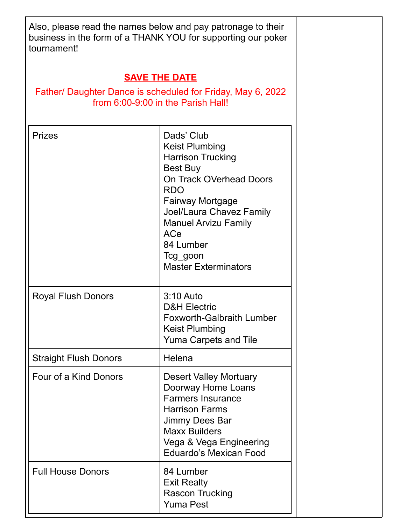| Also, please read the names below and pay patronage to their<br>business in the form of a THANK YOU for supporting our poker<br>tournament! |                                                                                                                                                                                                                                                                                         |  |
|---------------------------------------------------------------------------------------------------------------------------------------------|-----------------------------------------------------------------------------------------------------------------------------------------------------------------------------------------------------------------------------------------------------------------------------------------|--|
| <b>SAVE THE DATE</b><br>Father/ Daughter Dance is scheduled for Friday, May 6, 2022<br>from 6:00-9:00 in the Parish Hall!                   |                                                                                                                                                                                                                                                                                         |  |
| <b>Prizes</b>                                                                                                                               | Dads' Club<br><b>Keist Plumbing</b><br><b>Harrison Trucking</b><br><b>Best Buy</b><br><b>On Track OVerhead Doors</b><br><b>RDO</b><br><b>Fairway Mortgage</b><br>Joel/Laura Chavez Family<br><b>Manuel Arvizu Family</b><br>ACe<br>84 Lumber<br>Tcg_goon<br><b>Master Exterminators</b> |  |
| <b>Royal Flush Donors</b>                                                                                                                   | 3:10 Auto<br><b>D&amp;H Electric</b><br><b>Foxworth-Galbraith Lumber</b><br><b>Keist Plumbing</b><br><b>Yuma Carpets and Tile</b>                                                                                                                                                       |  |
| Helena<br><b>Straight Flush Donors</b>                                                                                                      |                                                                                                                                                                                                                                                                                         |  |
| Four of a Kind Donors                                                                                                                       | <b>Desert Valley Mortuary</b><br>Doorway Home Loans<br><b>Farmers Insurance</b><br><b>Harrison Farms</b><br>Jimmy Dees Bar<br><b>Maxx Builders</b><br>Vega & Vega Engineering<br><b>Eduardo's Mexican Food</b>                                                                          |  |
| <b>Full House Donors</b>                                                                                                                    | 84 Lumber<br><b>Exit Realty</b><br><b>Rascon Trucking</b><br><b>Yuma Pest</b>                                                                                                                                                                                                           |  |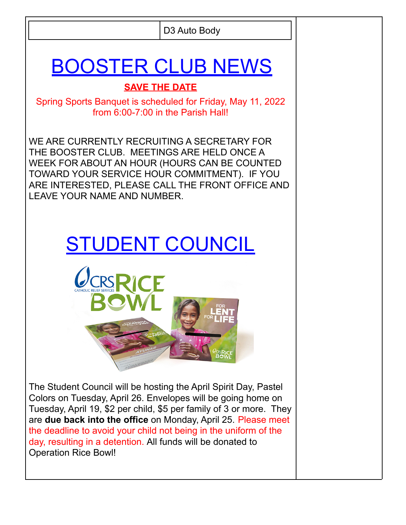D3 Auto Body

# BOOSTER CLUB NEWS

# **SAVE THE DATE**

Spring Sports Banquet is scheduled for Friday, May 11, 2022 from 6:00-7:00 in the Parish Hall!

WE ARE CURRENTLY RECRUITING A SECRETARY FOR THE BOOSTER CLUB. MEETINGS ARE HELD ONCE A WEEK FOR ABOUT AN HOUR (HOURS CAN BE COUNTED TOWARD YOUR SERVICE HOUR COMMITMENT). IF YOU ARE INTERESTED, PLEASE CALL THE FRONT OFFICE AND LEAVE YOUR NAME AND NUMBER.

# STUDENT COUNCIL



The Student Council will be hosting the April Spirit Day, Pastel Colors on Tuesday, April 26. Envelopes will be going home on Tuesday, April 19, \$2 per child, \$5 per family of 3 or more. They are **due back into the office** on Monday, April 25. Please meet the deadline to avoid your child not being in the uniform of the day, resulting in a detention. All funds will be donated to Operation Rice Bowl!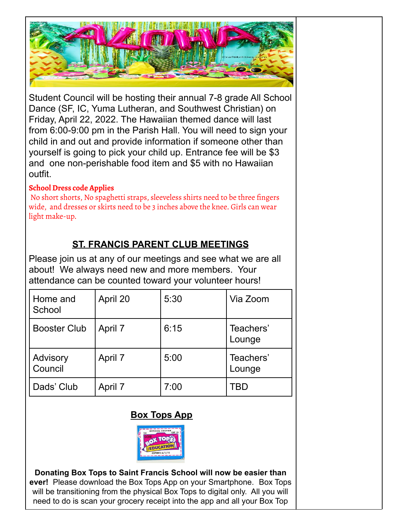

Student Council will be hosting their annual 7-8 grade All School Dance (SF, IC, Yuma Lutheran, and Southwest Christian) on Friday, April 22, 2022. The Hawaiian themed dance will last from 6:00-9:00 pm in the Parish Hall. You will need to sign your child in and out and provide information if someone other than yourself is going to pick your child up. Entrance fee will be \$3 and one non-perishable food item and \$5 with no Hawaiian outfit.

#### **School Dress code Applies**

No short shorts, No spaghetti straps, sleeveless shirts need to be three fingers wide, and dresses or skirts need to be 3 inches above the knee. Girls can wear light make-up.

# **ST. FRANCIS PARENT CLUB MEETINGS**

Please join us at any of our meetings and see what we are all about! We always need new and more members. Your attendance can be counted toward your volunteer hours!

| Home and<br>School  | April 20 | 5:30 | Via Zoom            |
|---------------------|----------|------|---------------------|
| <b>Booster Club</b> | April 7  | 6:15 | Teachers'<br>Lounge |
| Advisory<br>Council | April 7  | 5:00 | Teachers'<br>Lounge |
| Dads' Club          | April 7  | 7:00 | TBD                 |

# **Box Tops App**



**Donating Box Tops to Saint Francis School will now be easier than ever!** Please download the Box Tops App on your Smartphone. Box Tops will be transitioning from the physical Box Tops to digital only. All you will need to do is scan your grocery receipt into the app and all your Box Top